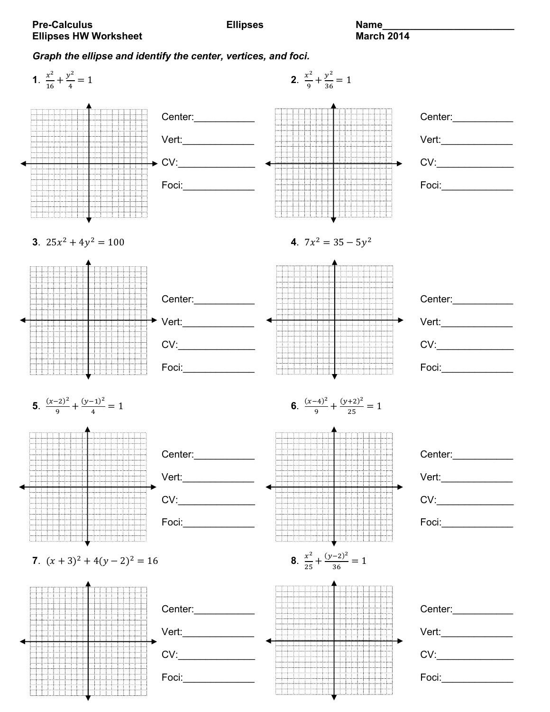## *Graph the ellipse and identify the center, vertices, and foci.*